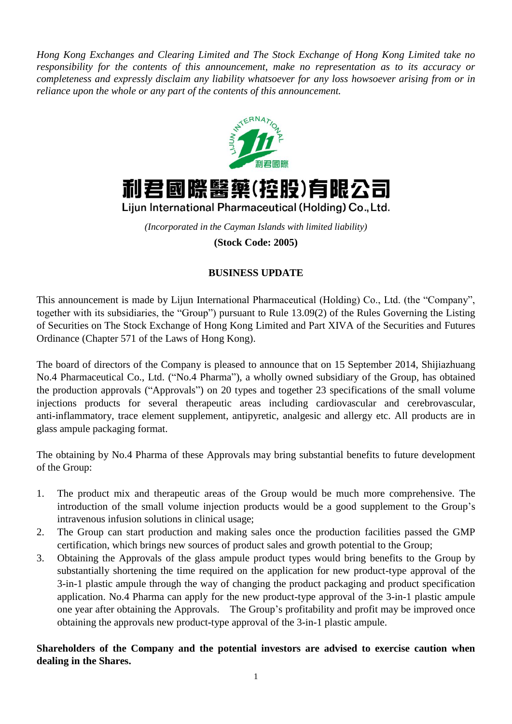*Hong Kong Exchanges and Clearing Limited and The Stock Exchange of Hong Kong Limited take no responsibility for the contents of this announcement, make no representation as to its accuracy or completeness and expressly disclaim any liability whatsoever for any loss howsoever arising from or in reliance upon the whole or any part of the contents of this announcement.*





Lijun International Pharmaceutical (Holding) Co., Ltd.

*(Incorporated in the Cayman Islands with limited liability)* **(Stock Code: 2005)**

## **BUSINESS UPDATE**

This announcement is made by Lijun International Pharmaceutical (Holding) Co., Ltd. (the "Company", together with its subsidiaries, the "Group") pursuant to Rule 13.09(2) of the Rules Governing the Listing of Securities on The Stock Exchange of Hong Kong Limited and Part XIVA of the Securities and Futures Ordinance (Chapter 571 of the Laws of Hong Kong).

The board of directors of the Company is pleased to announce that on 15 September 2014, Shijiazhuang No.4 Pharmaceutical Co., Ltd. ("No.4 Pharma"), a wholly owned subsidiary of the Group, has obtained the production approvals ("Approvals") on 20 types and together 23 specifications of the small volume injections products for several therapeutic areas including [cardiovascular and cerebrovascular,](http://baike.baidu.com/view/783095.htm) anti-inflammatory, trace element supplement, antipyretic, analgesic and allergy etc. All products are in glass ampule packaging format.

The obtaining by No.4 Pharma of these Approvals may bring substantial benefits to future development of the Group:

- 1. The product mix and therapeutic areas of the Group would be much more comprehensive. The introduction of the small volume injection products would be a good supplement to the Group's intravenous infusion solutions in clinical usage;
- 2. The Group can start production and making sales once the production facilities passed the GMP certification, which brings new sources of product sales and growth potential to the Group;
- 3. Obtaining the Approvals of the glass ampule product types would bring benefits to the Group by substantially shortening the time required on the application for new product-type approval of the 3-in-1 plastic ampule through the way of changing the product packaging and product specification application. No.4 Pharma can apply for the new product-type approval of the 3-in-1 plastic ampule one year after obtaining the Approvals. The Group's profitability and profit may be improved once obtaining the approvals new product-type approval of the 3-in-1 plastic ampule.

**Shareholders of the Company and the potential investors are advised to exercise caution when dealing in the Shares.**